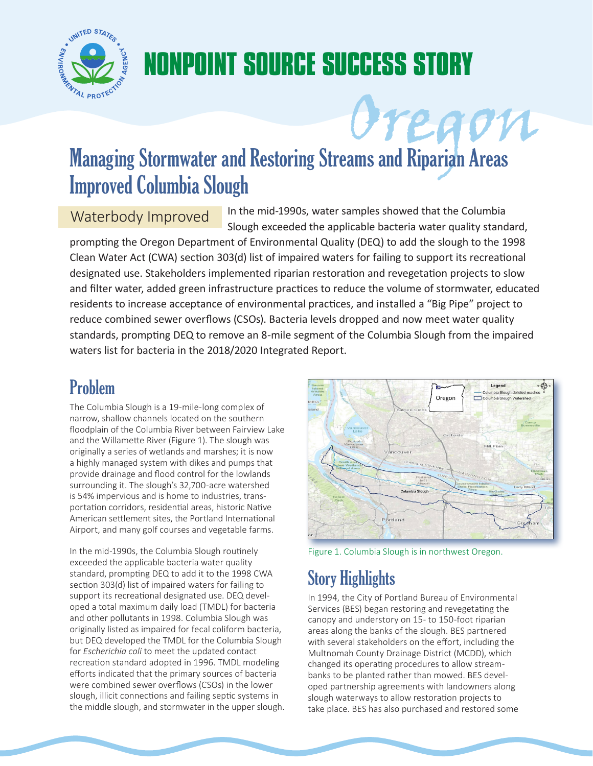

# **NONPOINT SOURCE SUCCESS STORY OREGON MANAGER STOREGOON**<br>
Managing Stormwater and Restoring Streams and Riparian Areas

## Improved Columbia Slough

Waterbody Improved In the mid-1990s, water samples showed that the Columbia Slough exceeded the applicable bacteria water quality standard,

prompting the Oregon Department of Environmental Quality (DEQ) to add the slough to the 1998 Clean Water Act (CWA) section 303(d) list of impaired waters for failing to support its recreational designated use. Stakeholders implemented riparian restoration and revegetation projects to slow and filter water, added green infrastructure practices to reduce the volume of stormwater, educated residents to increase acceptance of environmental practices, and installed a "Big Pipe" project to reduce combined sewer overflows (CSOs). Bacteria levels dropped and now meet water quality standards, prompting DEQ to remove an 8-mile segment of the Columbia Slough from the impaired waters list for bacteria in the 2018/2020 Integrated Report.

#### Problem

The Columbia Slough is a 19-mile-long complex of narrow, shallow channels located on the southern floodplain of the Columbia River between Fairview Lake and the Willamette River (Figure 1). The slough was originally a series of wetlands and marshes; it is now a highly managed system with dikes and pumps that provide drainage and flood control for the lowlands surrounding it. The slough's 32,700-acre watershed is 54% impervious and is home to industries, transportation corridors, residential areas, historic Native American settlement sites, the Portland International Airport, and many golf courses and vegetable farms.

In the mid-1990s, the Columbia Slough routinely Figure 1. Columbia Slough is in northwest Oregon. exceeded the applicable bacteria water quality standard, prompting DEQ to add it to the 1998 CWA section 303(d) list of impaired waters for failing to support its recreational designated use. DEQ developed a total maximum daily load (TMDL) for bacteria and other pollutants in 1998. Columbia Slough was originally listed as impaired for fecal coliform bacteria, but DEQ developed the TMDL for the Columbia Slough for *Escherichia coli* to meet the updated contact recreation standard adopted in 1996. TMDL modeling efforts indicated that the primary sources of bacteria were combined sewer overflows (CSOs) in the lower slough, illicit connections and failing septic systems in the middle slough, and stormwater in the upper slough.



### Story Highlights

In 1994, the City of Portland Bureau of Environmental Services (BES) began restoring and revegetating the canopy and understory on 15- to 150-foot riparian areas along the banks of the slough. BES partnered with several stakeholders on the effort, including the Multnomah County Drainage District (MCDD), which changed its operating procedures to allow streambanks to be planted rather than mowed. BES developed partnership agreements with landowners along slough waterways to allow restoration projects to take place. BES has also purchased and restored some